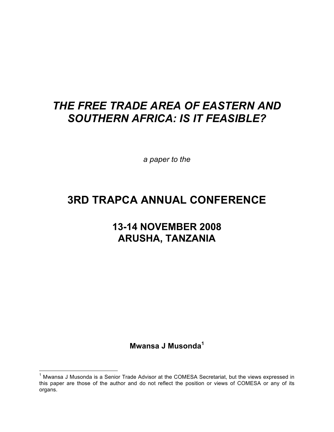*a paper to the* 

## **3RD TRAPCA ANNUAL CONFERENCE**

## **13-14 NOVEMBER 2008 ARUSHA, TANZANIA**

**Mwansa J Musonda<sup>1</sup>**

<sup>&</sup>lt;sup>1</sup> Mwansa J Musonda is a Senior Trade Advisor at the COMESA Secretariat, but the views expressed in this paper are those of the author and do not reflect the position or views of COMESA or any of its organs.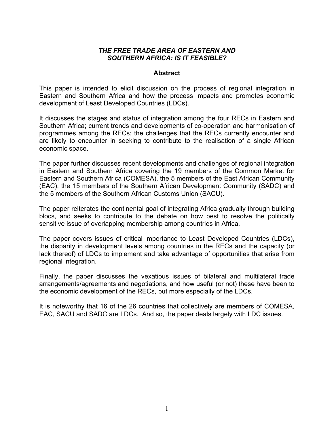#### **Abstract**

This paper is intended to elicit discussion on the process of regional integration in Eastern and Southern Africa and how the process impacts and promotes economic development of Least Developed Countries (LDCs).

It discusses the stages and status of integration among the four RECs in Eastern and Southern Africa; current trends and developments of co-operation and harmonisation of programmes among the RECs; the challenges that the RECs currently encounter and are likely to encounter in seeking to contribute to the realisation of a single African economic space.

The paper further discusses recent developments and challenges of regional integration in Eastern and Southern Africa covering the 19 members of the Common Market for Eastern and Southern Africa (COMESA), the 5 members of the East African Community (EAC), the 15 members of the Southern African Development Community (SADC) and the 5 members of the Southern African Customs Union (SACU).

The paper reiterates the continental goal of integrating Africa gradually through building blocs, and seeks to contribute to the debate on how best to resolve the politically sensitive issue of overlapping membership among countries in Africa.

The paper covers issues of critical importance to Least Developed Countries (LDCs), the disparity in development levels among countries in the RECs and the capacity (or lack thereof) of LDCs to implement and take advantage of opportunities that arise from regional integration.

Finally, the paper discusses the vexatious issues of bilateral and multilateral trade arrangements/agreements and negotiations, and how useful (or not) these have been to the economic development of the RECs, but more especially of the LDCs.

It is noteworthy that 16 of the 26 countries that collectively are members of COMESA, EAC, SACU and SADC are LDCs. And so, the paper deals largely with LDC issues.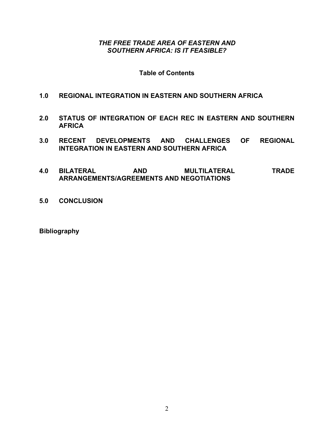### **Table of Contents**

### **1.0 REGIONAL INTEGRATION IN EASTERN AND SOUTHERN AFRICA**

- **2.0 STATUS OF INTEGRATION OF EACH REC IN EASTERN AND SOUTHERN AFRICA**
- **3.0 RECENT DEVELOPMENTS AND CHALLENGES OF REGIONAL INTEGRATION IN EASTERN AND SOUTHERN AFRICA**
- **4.0 BILATERAL AND MULTILATERAL TRADE ARRANGEMENTS/AGREEMENTS AND NEGOTIATIONS**
- **5.0 CONCLUSION**

**Bibliography**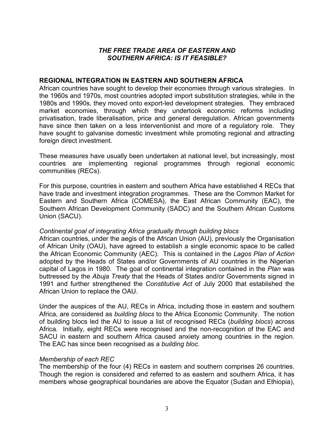#### **REGIONAL INTEGRATION IN EASTERN AND SOUTHERN AFRICA**

African countries have sought to develop their economies through various strategies. In the 1960s and 1970s, most countries adopted import substitution strategies, while in the 1980s and 1990s, they moved onto export-led development strategies. They embraced market economies, through which they undertook economic reforms including privatisation, trade liberalisation, price and general deregulation. African governments have since then taken on a less interventionist and more of a regulatory role. They have sought to galvanise domestic investment while promoting regional and attracting foreign direct investment.

These measures have usually been undertaken at national level, but increasingly, most countries are implementing regional programmes through regional economic communities (RECs).

For this purpose, countries in eastern and southern Africa have established 4 RECs that have trade and investment integration programmes. These are the Common Market for Eastern and Southern Africa (COMESA), the East African Community (EAC), the Southern African Development Community (SADC) and the Southern African Customs Union (SACU).

### *Continental goal of integrating Africa gradually through building blocs*

African countries, under the aegis of the African Union (AU), previously the Organisation of African Unity (OAU), have agreed to establish a single economic space to be called the African Economic Community (AEC). This is contained in the *Lagos Plan of Action* adopted by the Heads of States and/or Governments of AU countries in the Nigerian capital of Lagos in 1980. The goal of continental integration contained in the *Plan* was buttressed by the *Abuja Treaty* that the Heads of States and/or Governments signed in 1991 and further strengthened the *Constitutive Act* of July 2000 that established the African Union to replace the OAU.

Under the auspices of the AU, RECs in Africa, including those in eastern and southern Africa, are considered as *building blocs* to the Africa Economic Community. The notion of building blocs led the AU to issue a list of recognised RECs (*building blocs*) across Africa. Initially, eight RECs were recognised and the non-recognition of the EAC and SACU in eastern and southern Africa caused anxiety among countries in the region. The EAC has since been recognised as a *building bloc*.

### *Membership of each REC*

The membership of the four (4) RECs in eastern and southern comprises 26 countries. Though the region is considered and referred to as eastern and southern Africa, it has members whose geographical boundaries are above the Equator (Sudan and Ethiopia),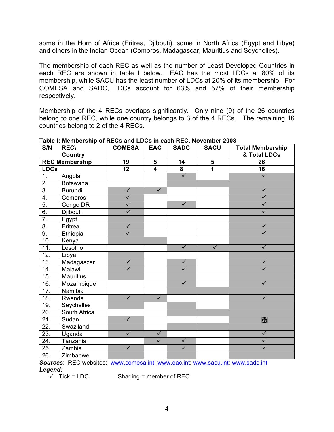some in the Horn of Africa (Eritrea, Djibouti), some in North Africa (Egypt and Libya) and others in the Indian Ocean (Comoros, Madagascar, Mauritius and Seychelles).

The membership of each REC as well as the number of Least Developed Countries in each REC are shown in table I below. EAC has the most LDCs at 80% of its membership, while SACU has the least number of LDCs at 20% of its membership. For COMESA and SADC, LDCs account for 63% and 57% of their membership respectively.

Membership of the 4 RECs overlaps significantly. Only nine (9) of the 26 countries belong to one REC, while one country belongs to 3 of the 4 RECs. The remaining 16 countries belong to 2 of the 4 RECs.

| S/N                   | <b>REC\</b>      | <b>COMESA</b>           | <b>EAC</b>              | <b>SADC</b>             | <b>SACU</b>    | <b>Total Membership</b> |
|-----------------------|------------------|-------------------------|-------------------------|-------------------------|----------------|-------------------------|
|                       | <b>Country</b>   |                         |                         |                         |                | & Total LDCs            |
| <b>REC Membership</b> |                  | 19                      | 5                       | 14                      | $5\phantom{1}$ | 26                      |
| <b>LDCs</b>           |                  | 12                      | 4                       | ${\bf 8}$               | 1              | 16                      |
| 1.                    | Angola           |                         |                         | $\checkmark$            |                | $\checkmark$            |
| $\overline{2}$ .      | Botswana         |                         |                         |                         |                |                         |
| $\overline{3}$ .      | Burundi          | $\overline{\checkmark}$ | $\overline{\checkmark}$ |                         |                | $\overline{\checkmark}$ |
| 4.                    | Comoros          | $\checkmark$            |                         |                         |                | $\checkmark$            |
| $\overline{5}$ .      | Congo DR         | $\overline{\checkmark}$ |                         | $\checkmark$            |                | $\checkmark$            |
| 6.                    | Djibouti         | $\checkmark$            |                         |                         |                | $\checkmark$            |
| $\overline{7}$ .      | Egypt            |                         |                         |                         |                |                         |
| 8.                    | Eritrea          | $\checkmark$            |                         |                         |                | $\checkmark$            |
| 9.                    | Ethiopia         | $\overline{\checkmark}$ |                         |                         |                | $\checkmark$            |
| 10.                   | Kenya            |                         |                         |                         |                |                         |
| 11.                   | Lesotho          |                         |                         | $\sqrt{}$               | $\sqrt{}$      | $\checkmark$            |
| 12.                   | Libya            |                         |                         |                         |                |                         |
| 13.                   | Madagascar       | $\overline{\checkmark}$ |                         | $\checkmark$            |                | $\checkmark$            |
| 14.                   | Malawi           | $\overline{\checkmark}$ |                         | $\overline{\checkmark}$ |                | $\checkmark$            |
| 15.                   | <b>Mauritius</b> |                         |                         |                         |                |                         |
| 16.                   | Mozambique       |                         |                         | $\checkmark$            |                | $\checkmark$            |
| 17.                   | Namibia          |                         |                         |                         |                |                         |
| 18.                   | Rwanda           | $\checkmark$            | $\checkmark$            |                         |                | $\checkmark$            |
| 19.                   | Seychelles       |                         |                         |                         |                |                         |
| 20.                   | South Africa     |                         |                         |                         |                |                         |
| $\overline{21}$ .     | Sudan            | $\overline{\checkmark}$ |                         |                         |                | $\mathbb{X}$            |
| 22.                   | Swaziland        |                         |                         |                         |                |                         |
| 23.                   | Uganda           | $\overline{\checkmark}$ | $\checkmark$            |                         |                | $\sqrt{}$               |
| 24.                   | Tanzania         |                         | $\overline{\checkmark}$ | $\sqrt{}$               |                | $\overline{\checkmark}$ |
| 25.                   | Zambia           | $\overline{\checkmark}$ |                         | $\overline{\checkmark}$ |                | $\overline{\checkmark}$ |
| 26.                   | Zimbabwe         |                         |                         |                         |                |                         |

**Table I: Membership of RECs and LDCs in each REC, November 2008**

Sources: REC websites: www.comesa.int; www.eac.int; www.sacu.int; www.sadc.int *Legend:*

 $\checkmark$  Tick = LDC Shading = member of REC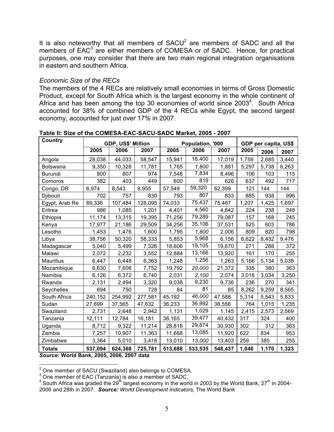It is also noteworthy that all members of  $SACU<sup>2</sup>$  are members of  $SADC$  and all the members of EAC<sup>3</sup> are either members of COMESA or of SADC. Hence, for practical purposes, one may consider that there are two main regional integration organisations in eastern and southern Africa.

#### *Economic Size of the RECs*

The members of the 4 RECs are relatively small economies in terms of Gross Domestic Product, except for South Africa which is the largest economy in the whole continent of Africa and has been among the top 30 economies of world since  $2003<sup>4</sup>$ . South Africa accounted for 38% of combined GDP of the 4 RECs while Egypt, the second largest economy, accounted for just over 17% in 2007.

| Country                                                    | <b>GDP, US\$' Million</b> |         |         | Population, '000 |         |         | GDP per capita, US\$ |       |       |
|------------------------------------------------------------|---------------------------|---------|---------|------------------|---------|---------|----------------------|-------|-------|
|                                                            | 2005                      | 2006    | 2007    | 2005             | 2006    | 2007    | 2005                 | 2006  | 2007  |
| Angola                                                     | 28,038                    | 44,033  | 58,547  | 15,941           | 16,400  | 17,019  | 1,759                | 2,685 | 3,440 |
| Botswana                                                   | 9,350                     | 10,328  | 11,781  | 1,765            | 1,800   | 1,881   | 5,297                | 5,738 | 6,263 |
| Burundi                                                    | 800                       | 807     | 974     | 7,548            | 7,834   | 8,496   | 106                  | 103   | 115   |
| Comoros                                                    | 382                       | 403     | 449     | 600              | 819     | 626     | 637                  | 492   | 717   |
| Congo, DR                                                  | 6,974                     | 8,543   | 8,955   | 57,549           | 59,320  | 62,399  | 121                  | 144   | 144   |
| Djibouti                                                   | 702                       | 757     | 830     | 793              | 807     | 833     | 885                  | 938   | 996   |
| Egypt, Arab Re                                             | 89,336                    | 107,484 | 128,095 | 74,033           | 75,437  | 75,467  | 1,207                | 1,425 | 1,697 |
| Eritrea                                                    | 986                       | 1,085   | 1,201   | 4,401            | 4,560   | 4,842   | 224                  | 238   | 248   |
| Ethiopia                                                   | 11,174                    | 13,315  | 19,395  | 71,256           | 79,289  | 79,087  | 157                  | 168   | 245   |
| Kenya                                                      | 17,977                    | 21,186  | 29,509  | 34,256           | 35,106  | 37,531  | 525                  | 603   | 786   |
| Lesotho                                                    | 1,453                     | 1,476   | 1,600   | 1,795            | 1,800   | 2,006   | 809                  | 820   | 798   |
| Libya                                                      | 38,756                    | 50,320  | 58,333  | 5,853            | 5,968   | 6,156   | 6,622                | 8,432 | 9,476 |
| Madagascar                                                 | 5,040                     | 5,499   | 7,326   | 18,606           | 19,105  | 19,670  | 271                  | 288   | 372   |
| Malawi                                                     | 2,072                     | 2,232   | 3,552   | 12,884           | 13,166  | 13,920  | 161                  | 170   | 255   |
| <b>Mauritius</b>                                           | 6,447                     | 6,448   | 6,363   | 1,248            | 1,256   | 1,263   | 5,166                | 5,134 | 5,038 |
| Mozambique                                                 | 6,630                     | 7,608   | 7,752   | 19,792           | 20,000  | 21,372  | 335                  | 380   | 363   |
| Namibia                                                    | 6,126                     | 6,372   | 6,740   | 2,031            | 2,100   | 2,074   | 3,016                | 3,034 | 3,250 |
| Rwanda                                                     | 2,131                     | 2,494   | 3,320   | 9,038            | 9,230   | 9,736   | 236                  | 270   | 341   |
| Seychelles                                                 | 694                       | 750     | 728     | 84               | 81      | 85      | 8,262                | 9,259 | 8,565 |
| South Africa                                               | 240,152                   | 254,992 | 277,581 | 45,192           | 46,000  | 47,588  | 5,314                | 5,543 | 5,833 |
| Sudan                                                      | 27,699                    | 37,565  | 47,632  | 36,233           | 36,992  | 38,556  | 764                  | 1,015 | 1,235 |
| Swaziland                                                  | 2,731                     | 2,648   | 2,942   | 1,131            | 1,029   | 1,145   | 2,415                | 2,573 | 2,569 |
| Tanzania                                                   | 12,111                    | 12,784  | 16,181  | 38,165           | 39,477  | 40,432  | 317                  | 324   | 400   |
| Uganda                                                     | 8,712                     | 9,322   | 11,214  | 28,816           | 29,874  | 30,930  | 302                  | 312   | 363   |
| Zambia                                                     | 7,257                     | 10,907  | 11,363  | 11,668           | 13,085  | 11,920  | 622                  | 834   | 953   |
| Zimbabwe                                                   | 3,364                     | 5,010   | 3,418   | 13,010           | 13,000  | 13,403  | 259                  | 385   | 255   |
| <b>Totals</b><br>Course: World Bank, 2005, 2006, 2007 data | 537,094                   | 624,368 | 725,781 | 513,688          | 533,535 | 548,437 | 1,046                | 1,170 | 1,323 |

**Table II: Size of the COMESA-EAC-SACU-SADC Market, 2005 - 2007**

*Source***: World Bank, 2005, 2006, 2007 data**

 $\frac{2}{3}$  One member of SACU (Swaziland) also belongs to COMESA.<br> $\frac{3}{3}$  One member of EAC (Tanzania) is also a member of SADC.

 $^4$  South Africa was graded the 29 $^{\rm th}$  largest economy in the world in 2003 by the World Bank, 27 $^{\rm th}$  in 2004-2006 and 28th in 2007. *Source: World Development Indicators,* The World Bank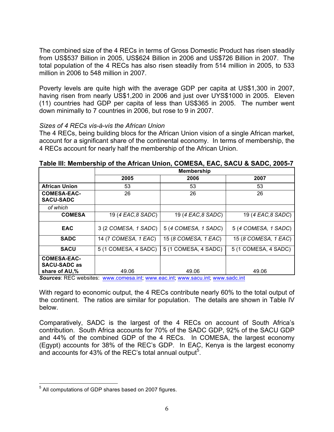The combined size of the 4 RECs in terms of Gross Domestic Product has risen steadily from US\$537 Billion in 2005, US\$624 Billion in 2006 and US\$726 Billion in 2007. The total population of the 4 RECs has also risen steadily from 514 million in 2005, to 533 million in 2006 to 548 million in 2007.

Poverty levels are quite high with the average GDP per capita at US\$1,300 in 2007, having risen from nearly US\$1,200 in 2006 and just over UYS\$1000 in 2005. Eleven (11) countries had GDP per capita of less than US\$365 in 2005. The number went down minimally to 7 countries in 2006, but rose to 9 in 2007.

### *Sizes of 4 RECs vis-à-vis the African Union*

The 4 RECs, being building blocs for the African Union vision of a single African market, account for a significant share of the continental economy. In terms of membership, the 4 RECs account for nearly half the membership of the African Union.

|                                                            | <b>Membership</b>    |                      |                      |  |  |  |
|------------------------------------------------------------|----------------------|----------------------|----------------------|--|--|--|
|                                                            | 2005                 | 2006                 | 2007                 |  |  |  |
| <b>African Union</b>                                       | 53                   | 53                   | 53                   |  |  |  |
| <b>COMESA-EAC-</b><br><b>SACU-SADC</b>                     | 26                   | 26                   | 26                   |  |  |  |
| of which                                                   |                      |                      |                      |  |  |  |
| <b>COMESA</b>                                              | 19 (4 EAC, 8 SADC)   | 19 (4 EAC, 8 SADC)   | 19 (4 EAC, 8 SADC)   |  |  |  |
| <b>EAC</b>                                                 | 3 (2 COMESA, 1 SADC) | 5 (4 COMESA, 1 SADC) | 5 (4 COMESA, 1 SADC) |  |  |  |
| <b>SADC</b>                                                | 14 (7 COMESA, 1 EAC) | 15 (8 COMESA, 1 EAC) | 15 (8 COMESA, 1 EAC) |  |  |  |
| <b>SACU</b>                                                | 5 (1 COMESA, 4 SADC) | 5 (1 COMESA, 4 SADC) | 5 (1 COMESA, 4 SADC) |  |  |  |
| <b>COMESA-EAC-</b><br><b>SACU-SADC as</b><br>share of AU,% | 49.06                | 49.06                | 49.06                |  |  |  |

**Table III: Membership of the African Union, COMESA, EAC, SACU & SADC, 2005-7**

*Sources*: REC websites: www.comesa.int; www.eac.int; www.sacu.int; www.sadc.int

With regard to economic output, the 4 RECs contribute nearly 60% to the total output of the continent. The ratios are similar for population. The details are shown in Table IV below.

Comparatively, SADC is the largest of the 4 RECs on account of South Africa's contribution. South Africa accounts for 70% of the SADC GDP, 92% of the SACU GDP and 44% of the combined GDP of the 4 RECs. In COMESA, the largest economy (Egypt) accounts for 38% of the REC's GDP. In EAC, Kenya is the largest economy and accounts for 43% of the REC's total annual output<sup>5</sup>.

<sup>5</sup> All computations of GDP shares based on 2007 figures.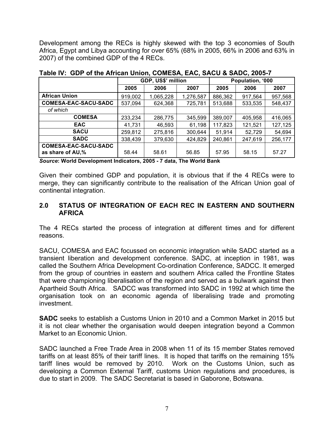Development among the RECs is highly skewed with the top 3 economies of South Africa, Egypt and Libya accounting for over 65% (68% in 2005, 66% in 2006 and 63% in 2007) of the combined GDP of the 4 RECs.

|                             | GDP, US\$' million |           |           | Population, '000 |         |         |
|-----------------------------|--------------------|-----------|-----------|------------------|---------|---------|
|                             | 2005               | 2006      | 2007      | 2005             | 2006    | 2007    |
| <b>African Union</b>        | 919,002            | 1,065,228 | 1,276,587 | 886,362          | 917,564 | 957,568 |
| <b>COMESA-EAC-SACU-SADC</b> | 537,094            | 624,368   | 725,781   | 513,688          | 533,535 | 548,437 |
| of which                    |                    |           |           |                  |         |         |
| <b>COMESA</b>               | 233,234            | 286,775   | 345,599   | 389,007          | 405,958 | 416,065 |
| <b>EAC</b>                  | 41,731             | 46,593    | 61,198    | 117,823          | 121,521 | 127,125 |
| <b>SACU</b>                 | 259,812            | 275,816   | 300,644   | 51,914           | 52,729  | 54,694  |
| <b>SADC</b>                 | 338,439            | 379,630   | 424,829   | 240,861          | 247,619 | 256,177 |
| <b>COMESA-EAC-SACU-SADC</b> |                    |           |           |                  |         |         |
| as share of AU,%            | 58.44              | 58.61     | 56.85     | 57.95            | 58.15   | 57.27   |

**Table IV: GDP of the African Union, COMESA, EAC, SACU & SADC, 2005-7**

*Source***: World Development Indicators, 2005 - 7 data, The World Bank**

Given their combined GDP and population, it is obvious that if the 4 RECs were to merge, they can significantly contribute to the realisation of the African Union goal of continental integration.

### **2.0 STATUS OF INTEGRATION OF EACH REC IN EASTERN AND SOUTHERN AFRICA**

The 4 RECs started the process of integration at different times and for different reasons.

SACU, COMESA and EAC focussed on economic integration while SADC started as a transient liberation and development conference. SADC, at inception in 1981, was called the Southern Africa Development Co-ordination Conference, SADCC. It emerged from the group of countries in eastern and southern Africa called the Frontline States that were championing liberalisation of the region and served as a bulwark against then Apartheid South Africa. SADCC was transformed into SADC in 1992 at which time the organisation took on an economic agenda of liberalising trade and promoting investment.

**SADC** seeks to establish a Customs Union in 2010 and a Common Market in 2015 but it is not clear whether the organisation would deepen integration beyond a Common Market to an Economic Union.

SADC launched a Free Trade Area in 2008 when 11 of its 15 member States removed tariffs on at least 85% of their tariff lines. It is hoped that tariffs on the remaining 15% tariff lines would be removed by 2010. Work on the Customs Union, such as developing a Common External Tariff, customs Union regulations and procedures, is due to start in 2009. The SADC Secretariat is based in Gaborone, Botswana.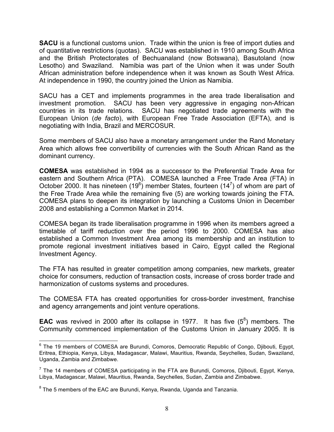**SACU** is a functional customs union. Trade within the union is free of import duties and of quantitative restrictions (quotas). SACU was established in 1910 among South Africa and the British Protectorates of Bechuanaland (now Botswana), Basutoland (now Lesotho) and Swaziland. Namibia was part of the Union when it was under South African administration before independence when it was known as South West Africa. At independence in 1990, the country joined the Union as Namibia.

SACU has a CET and implements programmes in the area trade liberalisation and investment promotion. SACU has been very aggressive in engaging non-African countries in its trade relations. SACU has negotiated trade agreements with the European Union (*de facto*), with European Free Trade Association (EFTA), and is negotiating with India, Brazil and MERCOSUR.

Some members of SACU also have a monetary arrangement under the Rand Monetary Area which allows free convertibility of currencies with the South African Rand as the dominant currency.

**COMESA** was established in 1994 as a successor to the Preferential Trade Area for eastern and Southern Africa (PTA). COMESA launched a Free Trade Area (FTA) in October 2000. It has nineteen (19<sup>6</sup>) member States, fourteen (14<sup>7</sup>) of whom are part of the Free Trade Area while the remaining five (5) are working towards joining the FTA. COMESA plans to deepen its integration by launching a Customs Union in December 2008 and establishing a Common Market in 2014.

COMESA began its trade liberalisation programme in 1996 when its members agreed a timetable of tariff reduction over the period 1996 to 2000. COMESA has also established a Common Investment Area among its membership and an institution to promote regional investment initiatives based in Cairo, Egypt called the Regional Investment Agency.

The FTA has resulted in greater competition among companies, new markets, greater choice for consumers, reduction of transaction costs, increase of cross border trade and harmonization of customs systems and procedures.

The COMESA FTA has created opportunities for cross-border investment, franchise and agency arrangements and joint venture operations.

**EAC** was revived in 2000 after its collapse in 1977. It has five  $(5^8)$  members. The Community commenced implementation of the Customs Union in January 2005. It is

 $6$  The 19 members of COMESA are Burundi, Comoros, Democratic Republic of Congo, Diibouti, Egypt, Eritrea, Ethiopia, Kenya, Libya, Madagascar, Malawi, Mauritius, Rwanda, Seychelles, Sudan, Swaziland, Uganda, Zambia and Zimbabwe.

 $<sup>7</sup>$  The 14 members of COMESA participating in the FTA are Burundi, Comoros, Djibouti, Egypt, Kenya,</sup> Libya, Madagascar, Malawi, Mauritius, Rwanda, Seychelles, Sudan, Zambia and Zimbabwe.

 $8$  The 5 members of the EAC are Burundi, Kenya, Rwanda, Uganda and Tanzania.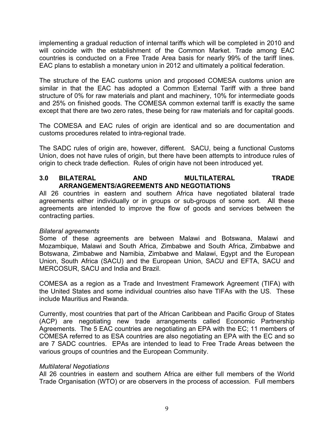implementing a gradual reduction of internal tariffs which will be completed in 2010 and will coincide with the establishment of the Common Market. Trade among EAC countries is conducted on a Free Trade Area basis for nearly 99% of the tariff lines. EAC plans to establish a monetary union in 2012 and ultimately a political federation.

The structure of the EAC customs union and proposed COMESA customs union are similar in that the EAC has adopted a Common External Tariff with a three band structure of 0% for raw materials and plant and machinery, 10% for intermediate goods and 25% on finished goods. The COMESA common external tariff is exactly the same except that there are two zero rates, these being for raw materials and for capital goods.

The COMESA and EAC rules of origin are identical and so are documentation and customs procedures related to intra-regional trade.

The SADC rules of origin are, however, different. SACU, being a functional Customs Union, does not have rules of origin, but there have been attempts to introduce rules of origin to check trade deflection. Rules of origin have not been introduced yet.

## **3.0 BILATERAL AND MULTILATERAL TRADE ARRANGEMENTS/AGREEMENTS AND NEGOTIATIONS**

All 26 countries in eastern and southern Africa have negotiated bilateral trade agreements either individually or in groups or sub-groups of some sort. All these agreements are intended to improve the flow of goods and services between the contracting parties.

### *Bilateral agreements*

Some of these agreements are between Malawi and Botswana, Malawi and Mozambique, Malawi and South Africa, Zimbabwe and South Africa, Zimbabwe and Botswana, Zimbabwe and Namibia, Zimbabwe and Malawi, Egypt and the European Union, South Africa (SACU) and the European Union, SACU and EFTA, SACU and MERCOSUR, SACU and India and Brazil.

COMESA as a region as a Trade and Investment Framework Agreement (TIFA) with the United States and some individual countries also have TIFAs with the US. These include Mauritius and Rwanda.

Currently, most countries that part of the African Caribbean and Pacific Group of States (ACP) are negotiating new trade arrangements called Economic Partnership Agreements. The 5 EAC countries are negotiating an EPA with the EC; 11 members of COMESA referred to as ESA countries are also negotiating an EPA with the EC and so are 7 SADC countries. EPAs are intended to lead to Free Trade Areas between the various groups of countries and the European Community.

### *Multilateral Negotiations*

All 26 countries in eastern and southern Africa are either full members of the World Trade Organisation (WTO) or are observers in the process of accession. Full members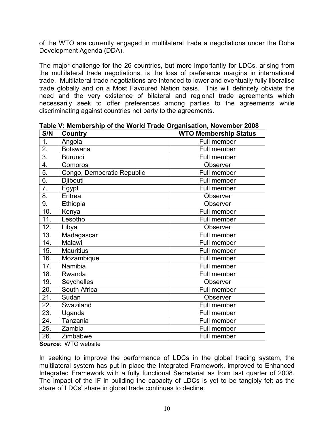of the WTO are currently engaged in multilateral trade a negotiations under the Doha Development Agenda (DDA).

The major challenge for the 26 countries, but more importantly for LDCs, arising from the multilateral trade negotiations, is the loss of preference margins in international trade. Multilateral trade negotiations are intended to lower and eventually fully liberalise trade globally and on a Most Favoured Nation basis. This will definitely obviate the need and the very existence of bilateral and regional trade agreements which necessarily seek to offer preferences among parties to the agreements while discriminating against countries not party to the agreements.

| S/N               | Country                    | <b>WTO Membership Status</b> |  |  |  |
|-------------------|----------------------------|------------------------------|--|--|--|
| 1.                | Angola                     | Full member                  |  |  |  |
| 2.                | <b>Botswana</b>            | Full member                  |  |  |  |
| $\overline{3}$ .  | <b>Burundi</b>             | Full member                  |  |  |  |
| 4.                | Comoros                    | Observer                     |  |  |  |
| $\overline{5}$ .  | Congo, Democratic Republic | Full member                  |  |  |  |
| 6.                | Djibouti                   | Full member                  |  |  |  |
| 7.                | Egypt                      | Full member                  |  |  |  |
| 8.                | Eritrea                    | <b>Observer</b>              |  |  |  |
| 9.                | Ethiopia                   | Observer                     |  |  |  |
| 10.               | Kenya                      | Full member                  |  |  |  |
| 11.               | Lesotho                    | Full member                  |  |  |  |
| 12.               | Libya                      | Observer                     |  |  |  |
| 13.               | Madagascar                 | Full member                  |  |  |  |
| 14.               | Malawi                     | Full member                  |  |  |  |
| 15.               | <b>Mauritius</b>           | Full member                  |  |  |  |
| 16.               | Mozambique                 | Full member                  |  |  |  |
| 17.               | Namibia                    | Full member                  |  |  |  |
| $\overline{18}$ . | Rwanda                     | Full member                  |  |  |  |
| 19.               | <b>Seychelles</b>          | Observer                     |  |  |  |
| 20.               | South Africa               | Full member                  |  |  |  |
| 21.               | Sudan                      | <b>Observer</b>              |  |  |  |
| 22.               | Swaziland                  | Full member                  |  |  |  |
| 23.               | Uganda                     | Full member                  |  |  |  |
| 24.               | Tanzania                   | Full member                  |  |  |  |
| 25.               | Zambia                     | Full member                  |  |  |  |
| 26.               | Zimbabwe                   | Full member                  |  |  |  |

**Table V: Membership of the World Trade Organisation, November 2008**

*Source*: WTO website

In seeking to improve the performance of LDCs in the global trading system, the multilateral system has put in place the Integrated Framework, improved to Enhanced Integrated Framework with a fully functional Secretariat as from last quarter of 2008. The impact of the IF in building the capacity of LDCs is yet to be tangibly felt as the share of LDCs' share in global trade continues to decline.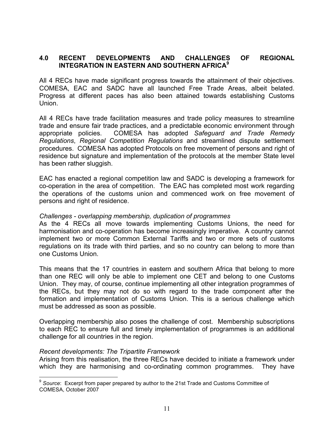## **4.0 RECENT DEVELOPMENTS AND CHALLENGES OF REGIONAL INTEGRATION IN EASTERN AND SOUTHERN AFRICA<sup>9</sup>**

All 4 RECs have made significant progress towards the attainment of their objectives. COMESA, EAC and SADC have all launched Free Trade Areas, albeit belated. Progress at different paces has also been attained towards establishing Customs Union.

All 4 RECs have trade facilitation measures and trade policy measures to streamline trade and ensure fair trade practices, and a predictable economic environment through appropriate policies. COMESA has adopted *Safeguard and Trade Remedy Regulations*, *Regional Competition Regulations* and streamlined dispute settlement procedures. COMESA has adopted Protocols on free movement of persons and right of residence but signature and implementation of the protocols at the member State level has been rather sluggish.

EAC has enacted a regional competition law and SADC is developing a framework for co-operation in the area of competition. The EAC has completed most work regarding the operations of the customs union and commenced work on free movement of persons and right of residence.

#### *Challenges - overlapping membership, duplication of programmes*

As the 4 RECs all move towards implementing Customs Unions, the need for harmonisation and co-operation has become increasingly imperative. A country cannot implement two or more Common External Tariffs and two or more sets of customs regulations on its trade with third parties, and so no country can belong to more than one Customs Union.

This means that the 17 countries in eastern and southern Africa that belong to more than one REC will only be able to implement one CET and belong to one Customs Union. They may, of course, continue implementing all other integration programmes of the RECs, but they may not do so with regard to the trade component after the formation and implementation of Customs Union. This is a serious challenge which must be addressed as soon as possible.

Overlapping membership also poses the challenge of cost. Membership subscriptions to each REC to ensure full and timely implementation of programmes is an additional challenge for all countries in the region.

#### *Recent developments: The Tripartite Framework*

Arising from this realisation, the three RECs have decided to initiate a framework under which they are harmonising and co-ordinating common programmes. They have

<sup>9</sup> *Source*: Excerpt from paper prepared by author to the 21st Trade and Customs Committee of COMESA, October 2007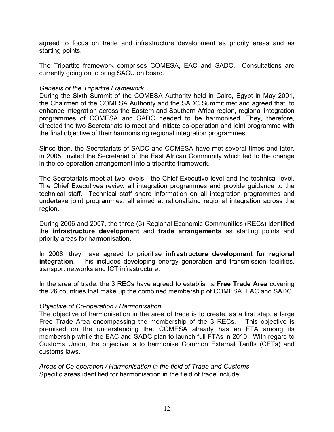agreed to focus on trade and infrastructure development as priority areas and as starting points.

The Tripartite framework comprises COMESA, EAC and SADC. Consultations are currently going on to bring SACU on board.

#### *Genesis of the Tripartite Framework*

During the Sixth Summit of the COMESA Authority held in Cairo, Egypt in May 2001, the Chairmen of the COMESA Authority and the SADC Summit met and agreed that, to enhance integration across the Eastern and Southern Africa region, regional integration programmes of COMESA and SADC needed to be harmonised. They, therefore, directed the two Secretariats to meet and initiate co-operation and joint programme with the final objective of their harmonising regional integration programmes.

Since then, the Secretariats of SADC and COMESA have met several times and later, in 2005, invited the Secretariat of the East African Community which led to the change in the co-operation arrangement into a tripartite framework.

The Secretariats meet at two levels - the Chief Executive level and the technical level. The Chief Executives review all integration programmes and provide guidance to the technical staff. Technical staff share information on all integration programmes and undertake joint programmes, all aimed at rationalizing regional integration across the region.

During 2006 and 2007, the three (3) Regional Economic Communities (RECs) identified the **infrastructure development** and **trade arrangements** as starting points and priority areas for harmonisation.

In 2008, they have agreed to prioritise **infrastructure development for regional integration**. This includes developing energy generation and transmission facilities, transport networks and ICT infrastructure.

In the area of trade, the 3 RECs have agreed to establish a **Free Trade Area** covering the 26 countries that make up the combined membership of COMESA, EAC and SADC.

#### *Objective of Co-operation / Harmonisation*

The objective of harmonisation in the area of trade is to create, as a first step, a large Free Trade Area encompassing the membership of the 3 RECs. This objective is premised on the understanding that COMESA already has an FTA among its membership while the EAC and SADC plan to launch full FTAs in 2010. With regard to Customs Union, the objective is to harmonise Common External Tariffs (CETs) and customs laws.

*Areas of Co-operation / Harmonisation in the field of Trade and Customs* Specific areas identified for harmonisation in the field of trade include: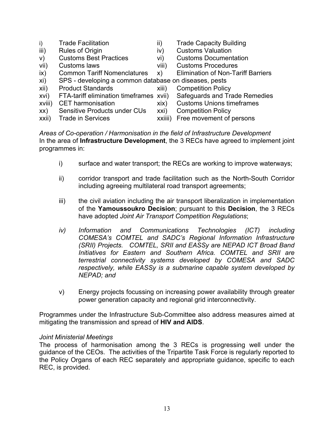- i) Trade Facilitation iii) Trade Capacity Building
- iii) Rules of Origin iv) Customs Valuation
- v) Customs Best Practices vi) Customs Documentation
- vii) Customs laws viii) Customs Procedures
- ix) Common Tariff Nomenclatures x) Elimination of Non-Tariff Barriers
- 
- 
- -
- xi) SPS developing a common database on diseases, pests
- xii) Product Standards xiii) Competition Policy
- xvi) FTA-tariff elimination timeframes xvii) Safeguards and Trade Remedies
- xviii) CET harmonisation xix) Customs Unions timeframes
- -
- xx) Sensitive Products under CUs xxi) Competition Policy xxii) Trade in Services xxiiii) Free movement of persons

*Areas of Co-operation / Harmonisation in the field of Infrastructure Development* In the area of **Infrastructure Development**, the 3 RECs have agreed to implement joint programmes in:

- i) surface and water transport; the RECs are working to improve waterways;
- ii) corridor transport and trade facilitation such as the North-South Corridor including agreeing multilateral road transport agreements;
- iii) the civil aviation including the air transport liberalization in implementation of the **Yamoussoukro Decision**; pursuant to this **Decision**, the 3 RECs have adopted *Joint Air Transport Competition Regulations*;
- *iv) Information and Communications Technologies (ICT) including COMESA's COMTEL and SADC's Regional Information Infrastructure (SRII) Projects. COMTEL, SRII and EASSy are NEPAD ICT Broad Band Initiatives for Eastern and Southern Africa. COMTEL and SRII are terrestrial connectivity systems developed by COMESA and SADC respectively, while EASSy is a submarine capable system developed by NEPAD; and*
- v) Energy projects focussing on increasing power availability through greater power generation capacity and regional grid interconnectivity.

Programmes under the Infrastructure Sub-Committee also address measures aimed at mitigating the transmission and spread of **HIV and AIDS**.

## *Joint Ministerial Meetings*

The process of harmonisation among the 3 RECs is progressing well under the guidance of the CEOs. The activities of the Tripartite Task Force is regularly reported to the Policy Organs of each REC separately and appropriate guidance, specific to each REC, is provided.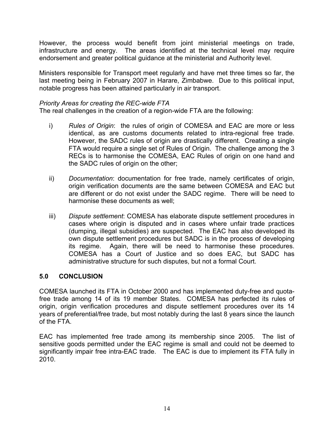However, the process would benefit from joint ministerial meetings on trade, infrastructure and energy. The areas identified at the technical level may require endorsement and greater political guidance at the ministerial and Authority level.

Ministers responsible for Transport meet regularly and have met three times so far, the last meeting being in February 2007 in Harare, Zimbabwe. Due to this political input, notable progress has been attained particularly in air transport.

### *Priority Areas for creating the REC-wide FTA*

The real challenges in the creation of a region-wide FTA are the following:

- i) *Rules of Origin*: the rules of origin of COMESA and EAC are more or less identical, as are customs documents related to intra-regional free trade. However, the SADC rules of origin are drastically different. Creating a single FTA would require a single set of Rules of Origin. The challenge among the 3 RECs is to harmonise the COMESA, EAC Rules of origin on one hand and the SADC rules of origin on the other;
- ii) *Documentation*: documentation for free trade, namely certificates of origin, origin verification documents are the same between COMESA and EAC but are different or do not exist under the SADC regime. There will be need to harmonise these documents as well;
- iii) *Dispute settlement*: COMESA has elaborate dispute settlement procedures in cases where origin is disputed and in cases where unfair trade practices (dumping, illegal subsidies) are suspected. The EAC has also developed its own dispute settlement procedures but SADC is in the process of developing its regime. Again, there will be need to harmonise these procedures. COMESA has a Court of Justice and so does EAC, but SADC has administrative structure for such disputes, but not a formal Court.

## **5.0 CONCLUSION**

COMESA launched its FTA in October 2000 and has implemented duty-free and quotafree trade among 14 of its 19 member States. COMESA has perfected its rules of origin, origin verification procedures and dispute settlement procedures over its 14 years of preferential/free trade, but most notably during the last 8 years since the launch of the FTA.

EAC has implemented free trade among its membership since 2005. The list of sensitive goods permitted under the EAC regime is small and could not be deemed to significantly impair free intra-EAC trade. The EAC is due to implement its FTA fully in 2010.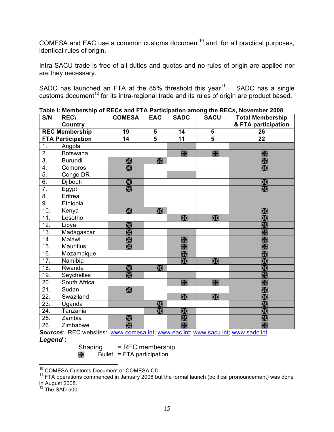COMESA and EAC use a common customs document<sup>10</sup> and, for all practical purposes, identical rules of origin.

Intra-SACU trade is free of all duties and quotas and no rules of origin are applied nor are they necessary.

SADC has launched an FTA at the 85% threshold this year<sup>11</sup>. SADC has a single customs document<sup>12</sup> for its intra-regional trade and its rules of origin are product based.

| S/N                   | <b>REC\</b>              | <b>COMESA</b>   | <b>EAC</b>     | <b>SADC</b>     | <b>SACU</b>             | $\frac{1}{2}$ and $\frac{1}{2}$ and $\frac{1}{2}$ and $\frac{1}{2}$ and $\frac{1}{2}$ are the patient annong the RLOS, NOVEMBER 2000<br><b>Total Membership</b> |
|-----------------------|--------------------------|-----------------|----------------|-----------------|-------------------------|-----------------------------------------------------------------------------------------------------------------------------------------------------------------|
|                       | <b>Country</b>           |                 |                |                 |                         | & FTA participation                                                                                                                                             |
| <b>REC Membership</b> |                          | $\overline{19}$ | 5              | $\overline{14}$ | $\overline{\mathbf{5}}$ | 26                                                                                                                                                              |
|                       | <b>FTA Participation</b> | $\overline{14}$ | $\overline{5}$ | $\overline{11}$ | $\overline{5}$          | $\overline{22}$                                                                                                                                                 |
| 1.                    | Angola                   |                 |                |                 |                         |                                                                                                                                                                 |
| $\overline{2}$ .      | <b>Botswana</b>          |                 |                | $\mathbb{R}$    | $\mathbb{R}$            | $\mathbb{X}$                                                                                                                                                    |
| $\overline{3}$ .      | <b>Burundi</b>           | $\mathbb{X}$    | $\mathbb{R}$   |                 |                         | X                                                                                                                                                               |
| 4.                    | Comoros                  | $\boxtimes$     |                |                 |                         | $\mathbb{X}$                                                                                                                                                    |
| $\overline{5}$ .      | Congo DR                 |                 |                |                 |                         |                                                                                                                                                                 |
| 6.                    | Djibouti                 | $\mathbb{R}$    |                |                 |                         | $\mathbb{X}$                                                                                                                                                    |
| $\overline{7}$ .      | Egypt                    | X               |                |                 |                         | $\mathbb{X}$                                                                                                                                                    |
| $\overline{8}$ .      | Eritrea                  |                 |                |                 |                         |                                                                                                                                                                 |
| 9.                    | Ethiopia                 |                 |                |                 |                         |                                                                                                                                                                 |
| 10.                   | Kenya                    | X               | X              |                 |                         | $\mathbb{X}$                                                                                                                                                    |
| 11.                   | Lesotho                  |                 |                | $\mathbb{R}$    | $\mathbb{R}$            | X                                                                                                                                                               |
| 12.                   | Libya                    | $\mathbb{X}$    |                |                 |                         | $\mathbb{R}$                                                                                                                                                    |
| 13.                   | Madagascar               | $\mathbb{R}$    |                |                 |                         | $\mathbb{R}$                                                                                                                                                    |
| 14.                   | Malawi                   | $\mathbb{R}$    |                | $\chi$          |                         | $\mathbb{R}$                                                                                                                                                    |
| 15.                   | <b>Mauritius</b>         | $\mathbb{X}$    |                | $\mathbb{X}$    |                         | $\mathbb{R}$                                                                                                                                                    |
| 16.                   | Mozambique               |                 |                | $\mathbb{R}$    |                         | X                                                                                                                                                               |
| 17.                   | Namibia                  |                 |                | $\mathbb{X}$    | X                       | $\mathbb{X}$                                                                                                                                                    |
| 18.                   | Rwanda                   | $\mathbb{R}$    | $\mathbb{R}$   |                 |                         | $\boxtimes$                                                                                                                                                     |
| 19.                   | Seychelles               | X               |                |                 |                         | X                                                                                                                                                               |
| 20.                   | South Africa             |                 |                | $\mathbb{R}$    | $\mathbb{R}$            | $\mathbb{X}$                                                                                                                                                    |
| $\overline{21}$ .     | Sudan                    | X               |                |                 |                         | X                                                                                                                                                               |
| 22.                   | Swaziland                |                 |                | $\mathbb{R}$    | $\mathbb{R}$            | $\overline{\mathbb{X}}$                                                                                                                                         |
| 23.                   | Uganda                   |                 | $\chi$         |                 |                         | $\frac{1}{2}$                                                                                                                                                   |
| 24.                   | Tanzania                 |                 | $\mathbb{R}$   | $\mathbb{R}$    |                         |                                                                                                                                                                 |
| 25.                   | Zambia                   | $\mathbb{X}$    |                | X               |                         | $\mathbb{R}$                                                                                                                                                    |
| 26.                   | Zimbabwe                 | $\mathbb{R}$    |                | $\mathbb{R}$    |                         | X                                                                                                                                                               |

**Table I: Membership of RECs and FTA Participation among the RECs, November 2008**

*Sources*: REC websites: www.comesa.int; www.eac.int; www.sacu.int; www.sadc.int *Legend :* 

Shading = REC membership

 $\mathbb{R}$  Bullet = FTA participation

<sup>10</sup> COMESA Customs Document or COMESA CD

 $11$  FTA operations commenced in January 2008 but the formal launch (political pronouncement) was done

in August 2008.

 $12$  The SAD 500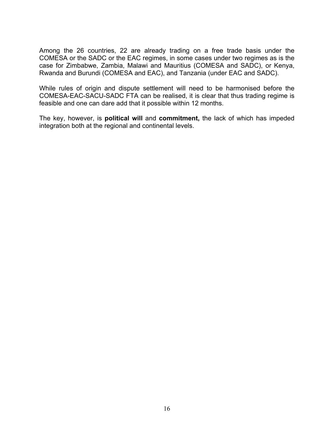Among the 26 countries, 22 are already trading on a free trade basis under the COMESA or the SADC or the EAC regimes, in some cases under two regimes as is the case for Zimbabwe, Zambia, Malawi and Mauritius (COMESA and SADC), or Kenya, Rwanda and Burundi (COMESA and EAC), and Tanzania (under EAC and SADC).

While rules of origin and dispute settlement will need to be harmonised before the COMESA-EAC-SACU-SADC FTA can be realised, it is clear that thus trading regime is feasible and one can dare add that it possible within 12 months.

The key, however, is **political will** and **commitment,** the lack of which has impeded integration both at the regional and continental levels.